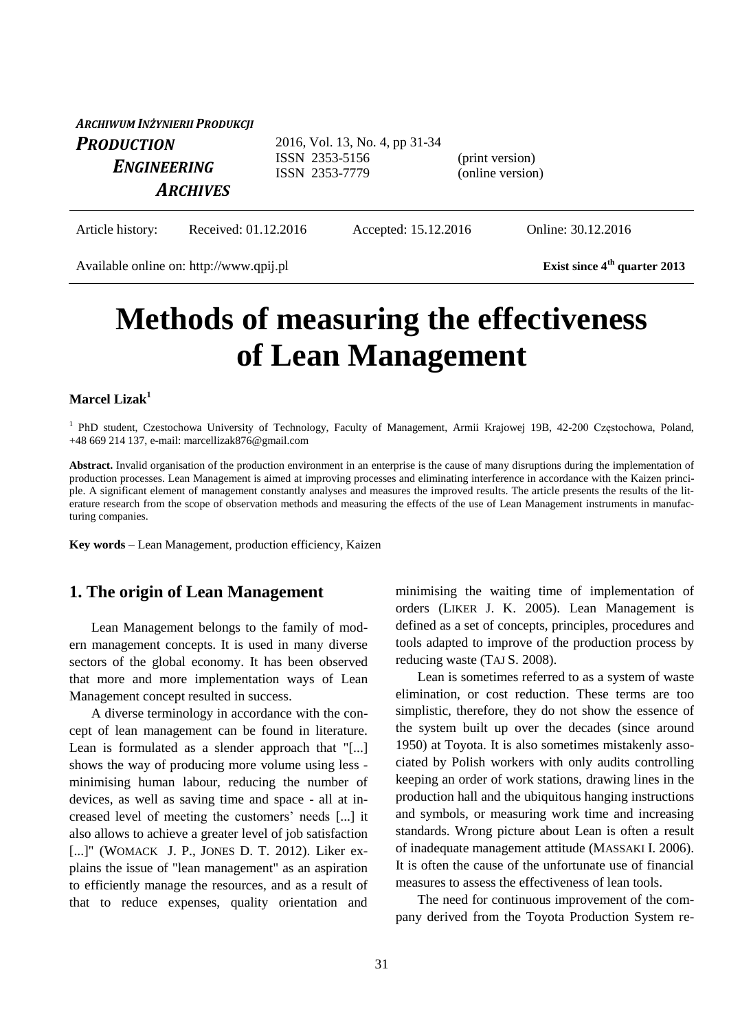| ARCHIWUM INŻYNIERII PRODUKCJI |                                  |                                     |
|-------------------------------|----------------------------------|-------------------------------------|
| <b>PRODUCTION</b>             | 2016, Vol. 13, No. 4, pp 31-34   |                                     |
| ENGINEERING                   | ISSN 2353-5156<br>ISSN 2353-7779 | (print version)<br>(online version) |
| <b>ARCHIVES</b>               |                                  |                                     |

Article history: Received: 01.12.2016 Accepted: 15.12.2016 Online: 30.12.2016

Available online on: http://www.qpij.pl **Exist since 4<sup>th</sup>** quarter 2013

# **Methods of measuring the effectiveness of Lean Management**

#### **Marcel Lizak<sup>1</sup>**

<sup>1</sup> PhD student, Czestochowa University of Technology, Faculty of Management, Armii Krajowej 19B, 42-200 Częstochowa, Poland, +48 669 214 137, e-mail: marcellizak876@gmail.com

**Abstract.** Invalid organisation of the production environment in an enterprise is the cause of many disruptions during the implementation of production processes. Lean Management is aimed at improving processes and eliminating interference in accordance with the Kaizen principle. A significant element of management constantly analyses and measures the improved results. The article presents the results of the literature research from the scope of observation methods and measuring the effects of the use of Lean Management instruments in manufacturing companies.

**Key words** – Lean Management, production efficiency, Kaizen

#### **1. The origin of Lean Management**

Lean Management belongs to the family of modern management concepts. It is used in many diverse sectors of the global economy. It has been observed that more and more implementation ways of Lean Management concept resulted in success.

A diverse terminology in accordance with the concept of lean management can be found in literature. Lean is formulated as a slender approach that "[...] shows the way of producing more volume using less minimising human labour, reducing the number of devices, as well as saving time and space - all at increased level of meeting the customers' needs [...] it also allows to achieve a greater level of job satisfaction [...]" (WOMACK J. P., JONES D. T. 2012). Liker explains the issue of "lean management" as an aspiration to efficiently manage the resources, and as a result of that to reduce expenses, quality orientation and minimising the waiting time of implementation of orders (LIKER J. K. 2005). Lean Management is defined as a set of concepts, principles, procedures and tools adapted to improve of the production process by reducing waste (TAJ S. 2008).

Lean is sometimes referred to as a system of waste elimination, or cost reduction. These terms are too simplistic, therefore, they do not show the essence of the system built up over the decades (since around 1950) at Toyota. It is also sometimes mistakenly associated by Polish workers with only audits controlling keeping an order of work stations, drawing lines in the production hall and the ubiquitous hanging instructions and symbols, or measuring work time and increasing standards. Wrong picture about Lean is often a result of inadequate management attitude (MASSAKI I. 2006). It is often the cause of the unfortunate use of financial measures to assess the effectiveness of lean tools.

The need for continuous improvement of the company derived from the Toyota Production System re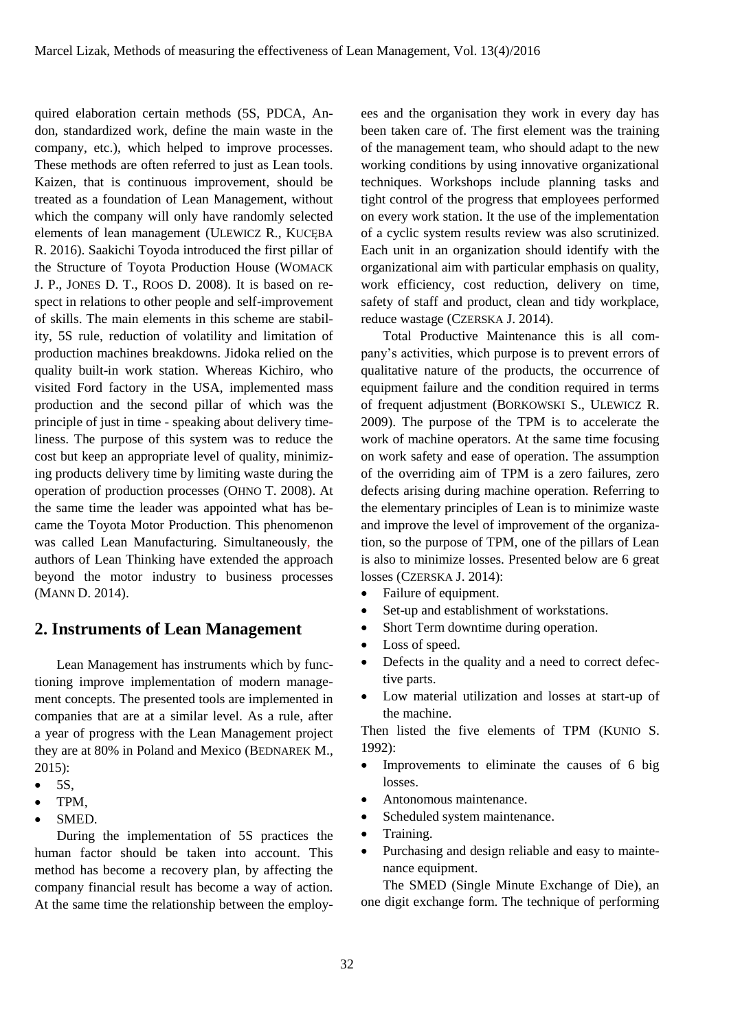quired elaboration certain methods (5S, PDCA, Andon, standardized work, define the main waste in the company, etc.), which helped to improve processes. These methods are often referred to just as Lean tools. Kaizen, that is continuous improvement, should be treated as a foundation of Lean Management, without which the company will only have randomly selected elements of lean management (ULEWICZ R., KUCĘBA R. 2016). Saakichi Toyoda introduced the first pillar of the Structure of Toyota Production House (WOMACK J. P., JONES D. T., ROOS D. 2008). It is based on respect in relations to other people and self-improvement of skills. The main elements in this scheme are stability, 5S rule, reduction of volatility and limitation of production machines breakdowns. Jidoka relied on the quality built-in work station. Whereas Kichiro, who visited Ford factory in the USA, implemented mass production and the second pillar of which was the principle of just in time - speaking about delivery timeliness. The purpose of this system was to reduce the cost but keep an appropriate level of quality, minimizing products delivery time by limiting waste during the operation of production processes (OHNO T. 2008). At the same time the leader was appointed what has became the Toyota Motor Production. This phenomenon was called Lean Manufacturing. Simultaneously, the authors of Lean Thinking have extended the approach beyond the motor industry to business processes (MANN D. 2014).

### **2. Instruments of Lean Management**

Lean Management has instruments which by functioning improve implementation of modern management concepts. The presented tools are implemented in companies that are at a similar level. As a rule, after a year of progress with the Lean Management project they are at 80% in Poland and Mexico (BEDNAREK M., 2015):

- $\bullet$  5S.
- TPM,
- SMED.

During the implementation of 5S practices the human factor should be taken into account. This method has become a recovery plan, by affecting the company financial result has become a way of action. At the same time the relationship between the employees and the organisation they work in every day has been taken care of. The first element was the training of the management team, who should adapt to the new working conditions by using innovative organizational techniques. Workshops include planning tasks and tight control of the progress that employees performed on every work station. It the use of the implementation of a cyclic system results review was also scrutinized. Each unit in an organization should identify with the organizational aim with particular emphasis on quality, work efficiency, cost reduction, delivery on time, safety of staff and product, clean and tidy workplace, reduce wastage (CZERSKA J. 2014).

Total Productive Maintenance this is all company's activities, which purpose is to prevent errors of qualitative nature of the products, the occurrence of equipment failure and the condition required in terms of frequent adjustment (BORKOWSKI S., ULEWICZ R. 2009). The purpose of the TPM is to accelerate the work of machine operators. At the same time focusing on work safety and ease of operation. The assumption of the overriding aim of TPM is a zero failures, zero defects arising during machine operation. Referring to the elementary principles of Lean is to minimize waste and improve the level of improvement of the organization, so the purpose of TPM, one of the pillars of Lean is also to minimize losses. Presented below are 6 great losses (CZERSKA J. 2014):

- Failure of equipment.
- Set-up and establishment of workstations.
- Short Term downtime during operation.
- Loss of speed.
- Defects in the quality and a need to correct defective parts.
- Low material utilization and losses at start-up of the machine.

Then listed the five elements of TPM (KUNIO S. 1992):

- Improvements to eliminate the causes of 6 big losses.
- Antonomous maintenance.
- Scheduled system maintenance.
- Training.
- Purchasing and design reliable and easy to maintenance equipment.

The SMED (Single Minute Exchange of Die), an one digit exchange form. The technique of performing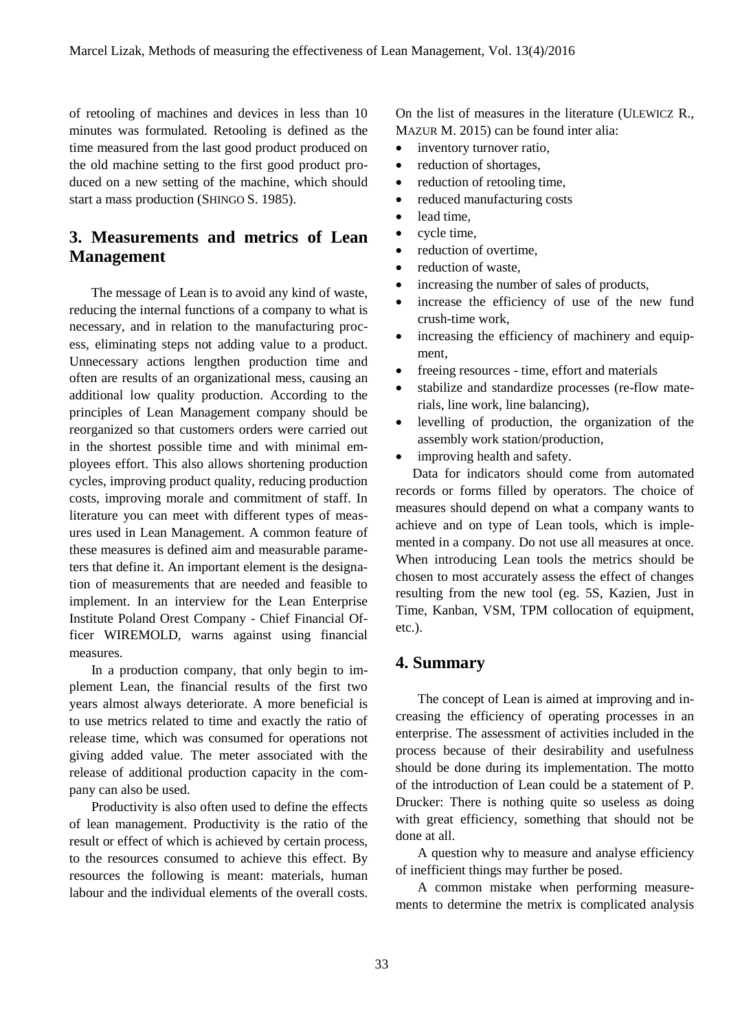of retooling of machines and devices in less than 10 minutes was formulated. Retooling is defined as the time measured from the last good product produced on the old machine setting to the first good product produced on a new setting of the machine, which should start a mass production (SHINGO S. 1985).

# **3. Measurements and metrics of Lean Management**

The message of Lean is to avoid any kind of waste, reducing the internal functions of a company to what is necessary, and in relation to the manufacturing process, eliminating steps not adding value to a product. Unnecessary actions lengthen production time and often are results of an organizational mess, causing an additional low quality production. According to the principles of Lean Management company should be reorganized so that customers orders were carried out in the shortest possible time and with minimal employees effort. This also allows shortening production cycles, improving product quality, reducing production costs, improving morale and commitment of staff. In literature you can meet with different types of measures used in Lean Management. A common feature of these measures is defined aim and measurable parameters that define it. An important element is the designation of measurements that are needed and feasible to implement. In an interview for the Lean Enterprise Institute Poland Orest Company - Chief Financial Officer WIREMOLD, warns against using financial measures.

In a production company, that only begin to implement Lean, the financial results of the first two years almost always deteriorate. A more beneficial is to use metrics related to time and exactly the ratio of release time, which was consumed for operations not giving added value. The meter associated with the release of additional production capacity in the company can also be used.

Productivity is also often used to define the effects of lean management. Productivity is the ratio of the result or effect of which is achieved by certain process, to the resources consumed to achieve this effect. By resources the following is meant: materials, human labour and the individual elements of the overall costs.

On the list of measures in the literature (ULEWICZ R., MAZUR M. 2015) can be found inter alia:

- inventory turnover ratio,
- reduction of shortages,
- reduction of retooling time,
- reduced manufacturing costs
- lead time.
- cycle time,
- reduction of overtime,
- reduction of waste,
- increasing the number of sales of products,
- increase the efficiency of use of the new fund crush-time work,
- increasing the efficiency of machinery and equipment,
- freeing resources time, effort and materials
- stabilize and standardize processes (re-flow materials, line work, line balancing),
- levelling of production, the organization of the assembly work station/production,
- improving health and safety.

 Data for indicators should come from automated records or forms filled by operators. The choice of measures should depend on what a company wants to achieve and on type of Lean tools, which is implemented in a company. Do not use all measures at once. When introducing Lean tools the metrics should be chosen to most accurately assess the effect of changes resulting from the new tool (eg. 5S, Kazien, Just in Time, Kanban, VSM, TPM collocation of equipment, etc.).

### **4. Summary**

The concept of Lean is aimed at improving and increasing the efficiency of operating processes in an enterprise. The assessment of activities included in the process because of their desirability and usefulness should be done during its implementation. The motto of the introduction of Lean could be a statement of P. Drucker: There is nothing quite so useless as doing with great efficiency, something that should not be done at all.

A question why to measure and analyse efficiency of inefficient things may further be posed.

A common mistake when performing measurements to determine the metrix is complicated analysis